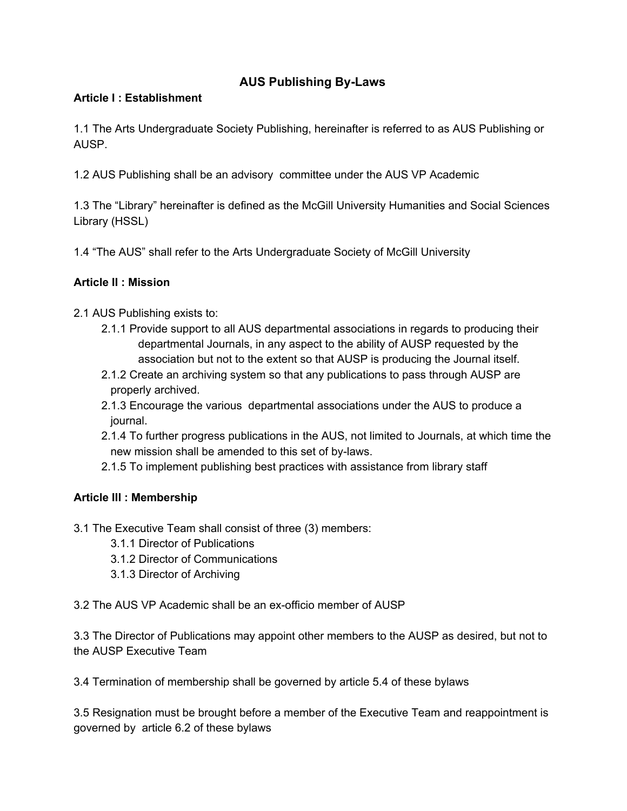# **AUS Publishing ByLaws**

### **Article I : Establishment**

1.1 The Arts Undergraduate Society Publishing, hereinafter is referred to as AUS Publishing or AUSP.

1.2 AUS Publishing shall be an advisory committee under the AUS VP Academic

1.3 The "Library" hereinafter is defined as the McGill University Humanities and Social Sciences Library (HSSL)

1.4 "The AUS" shall refer to the Arts Undergraduate Society of McGill University

### **Article II : Mission**

- 2.1 AUS Publishing exists to:
	- 2.1.1 Provide support to all AUS departmental associations in regards to producing their departmental Journals, in any aspect to the ability of AUSP requested by the association but not to the extent so that AUSP is producing the Journal itself.
	- 2.1.2 Create an archiving system so that any publications to pass through AUSP are properly archived.
	- 2.1.3 Encourage the various departmental associations under the AUS to produce a journal.
	- 2.1.4 To further progress publications in the AUS, not limited to Journals, at which time the new mission shall be amended to this set of by-laws.
	- 2.1.5 To implement publishing best practices with assistance from library staff

# **Article III : Membership**

- 3.1 The Executive Team shall consist of three (3) members:
	- 3.1.1 Director of Publications
	- 3.1.2 Director of Communications
	- 3.1.3 Director of Archiving

3.2 The AUS VP Academic shall be an ex-officio member of AUSP

3.3 The Director of Publications may appoint other members to the AUSP as desired, but not to the AUSP Executive Team

3.4 Termination of membership shall be governed by article 5.4 of these bylaws

3.5 Resignation must be brought before a member of the Executive Team and reappointment is governed by article 6.2 of these bylaws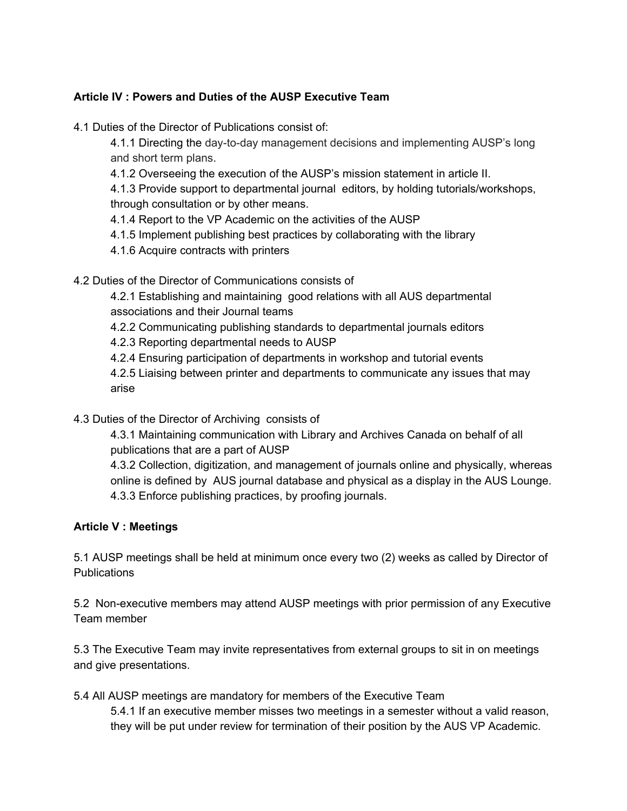### **Article IV : Powers and Duties of the AUSP Executive Team**

4.1 Duties of the Director of Publications consist of:

4.1.1 Directing the day-to-day management decisions and implementing AUSP's long and short term plans.

4.1.2 Overseeing the execution of the AUSP's mission statement in article II.

4.1.3 Provide support to departmental journal editors, by holding tutorials/workshops, through consultation or by other means.

4.1.4 Report to the VP Academic on the activities of the AUSP

- 4.1.5 Implement publishing best practices by collaborating with the library
- 4.1.6 Acquire contracts with printers

4.2 Duties of the Director of Communications consists of

4.2.1 Establishing and maintaining good relations with all AUS departmental associations and their Journal teams

4.2.2 Communicating publishing standards to departmental journals editors

4.2.3 Reporting departmental needs to AUSP

4.2.4 Ensuring participation of departments in workshop and tutorial events

4.2.5 Liaising between printer and departments to communicate any issues that may arise

4.3 Duties of the Director of Archiving consists of

4.3.1 Maintaining communication with Library and Archives Canada on behalf of all publications that are a part of AUSP

4.3.2 Collection, digitization, and management of journals online and physically, whereas online is defined by AUS journal database and physical as a display in the AUS Lounge. 4.3.3 Enforce publishing practices, by proofing journals.

# **Article V : Meetings**

5.1 AUSP meetings shall be held at minimum once every two (2) weeks as called by Director of **Publications** 

5.2 Non-executive members may attend AUSP meetings with prior permission of any Executive Team member

5.3 The Executive Team may invite representatives from external groups to sit in on meetings and give presentations.

5.4 All AUSP meetings are mandatory for members of the Executive Team

5.4.1 If an executive member misses two meetings in a semester without a valid reason, they will be put under review for termination of their position by the AUS VP Academic.